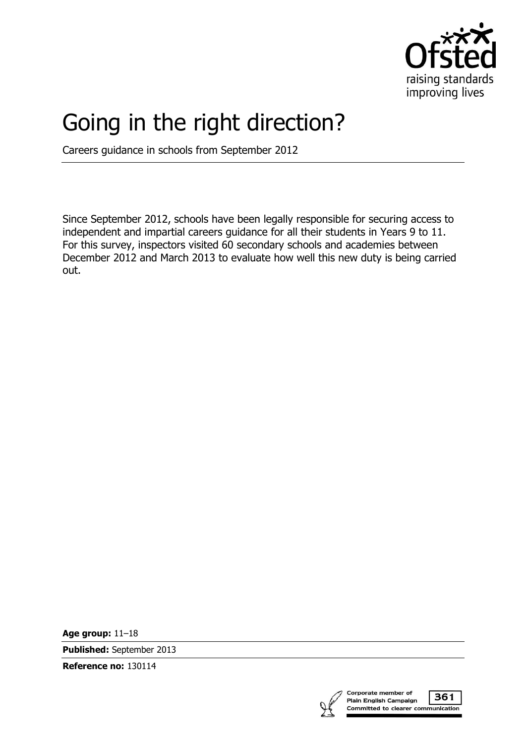

# Going in the right direction?

Careers guidance in schools from September 2012

Since September 2012, schools have been legally responsible for securing access to independent and impartial careers guidance for all their students in Years 9 to 11. For this survey, inspectors visited 60 secondary schools and academies between December 2012 and March 2013 to evaluate how well this new duty is being carried out.

**Age group:** 11–18

**Published:** September 2013

**Reference no:** 130114



361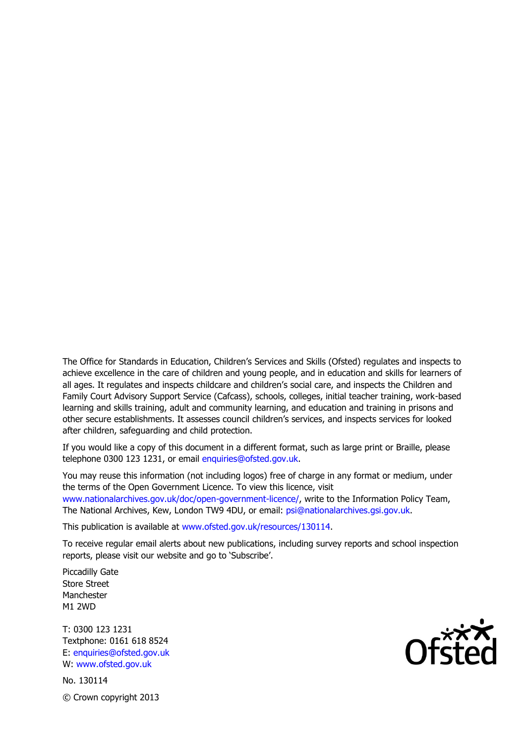The Office for Standards in Education, Children's Services and Skills (Ofsted) regulates and inspects to achieve excellence in the care of children and young people, and in education and skills for learners of all ages. It regulates and inspects childcare and children's social care, and inspects the Children and Family Court Advisory Support Service (Cafcass), schools, colleges, initial teacher training, work-based learning and skills training, adult and community learning, and education and training in prisons and other secure establishments. It assesses council children's services, and inspects services for looked after children, safeguarding and child protection.

If you would like a copy of this document in a different format, such as large print or Braille, please telephone 0300 123 1231, or email enquiries@ofsted.gov.uk.

You may reuse this information (not including logos) free of charge in any format or medium, under the terms of the Open Government Licence. To view this licence, visit www.nationalarchives.gov.uk/doc/open-government-licence/, write to the Information Policy Team, The National Archives, Kew, London TW9 4DU, or email: psi@nationalarchives.gsi.gov.uk.

This publication is available at www.ofsted.gov.uk/resources/130114.

To receive regular email alerts about new publications, including survey reports and school inspection reports, please visit our website and go to 'Subscribe'.

Piccadilly Gate Store Street Manchester M1 2WD

T: 0300 123 1231 Textphone: 0161 618 8524 E: enquiries@ofsted.gov.uk W: www.ofsted.gov.uk

No. 130114 © Crown copyright 2013

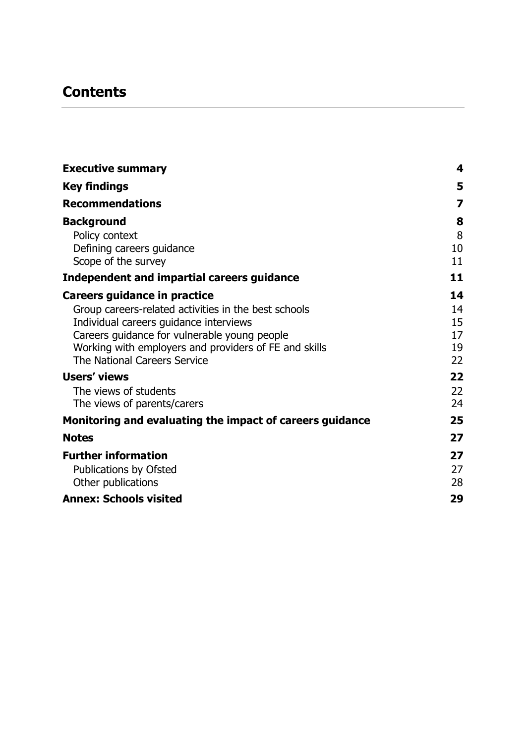# **Contents**

| <b>Executive summary</b>                                 | 4  |
|----------------------------------------------------------|----|
| <b>Key findings</b>                                      | 5  |
| <b>Recommendations</b>                                   | 7  |
| <b>Background</b>                                        | 8  |
| Policy context                                           | 8  |
| Defining careers guidance                                | 10 |
| Scope of the survey                                      | 11 |
| <b>Independent and impartial careers guidance</b>        | 11 |
| Careers guidance in practice                             | 14 |
| Group careers-related activities in the best schools     | 14 |
| Individual careers guidance interviews                   | 15 |
| Careers guidance for vulnerable young people             | 17 |
| Working with employers and providers of FE and skills    | 19 |
| The National Careers Service                             | 22 |
| <b>Users' views</b>                                      | 22 |
| The views of students                                    | 22 |
| The views of parents/carers                              | 24 |
| Monitoring and evaluating the impact of careers guidance | 25 |
| <b>Notes</b>                                             | 27 |
| <b>Further information</b>                               | 27 |
| Publications by Ofsted                                   | 27 |
| Other publications                                       | 28 |
| <b>Annex: Schools visited</b>                            | 29 |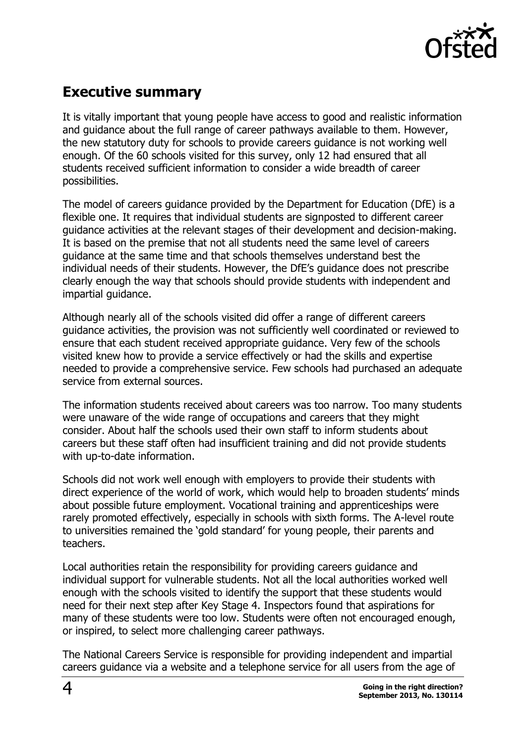

# <span id="page-3-0"></span>**Executive summary**

It is vitally important that young people have access to good and realistic information and guidance about the full range of career pathways available to them. However, the new statutory duty for schools to provide careers guidance is not working well enough. Of the 60 schools visited for this survey, only 12 had ensured that all students received sufficient information to consider a wide breadth of career possibilities.

The model of careers guidance provided by the Department for Education (DfE) is a flexible one. It requires that individual students are signposted to different career guidance activities at the relevant stages of their development and decision-making. It is based on the premise that not all students need the same level of careers guidance at the same time and that schools themselves understand best the individual needs of their students. However, the DfE's guidance does not prescribe clearly enough the way that schools should provide students with independent and impartial guidance.

Although nearly all of the schools visited did offer a range of different careers guidance activities, the provision was not sufficiently well coordinated or reviewed to ensure that each student received appropriate guidance. Very few of the schools visited knew how to provide a service effectively or had the skills and expertise needed to provide a comprehensive service. Few schools had purchased an adequate service from external sources.

The information students received about careers was too narrow. Too many students were unaware of the wide range of occupations and careers that they might consider. About half the schools used their own staff to inform students about careers but these staff often had insufficient training and did not provide students with up-to-date information.

Schools did not work well enough with employers to provide their students with direct experience of the world of work, which would help to broaden students' minds about possible future employment. Vocational training and apprenticeships were rarely promoted effectively, especially in schools with sixth forms. The A-level route to universities remained the 'gold standard' for young people, their parents and teachers.

Local authorities retain the responsibility for providing careers guidance and individual support for vulnerable students. Not all the local authorities worked well enough with the schools visited to identify the support that these students would need for their next step after Key Stage 4. Inspectors found that aspirations for many of these students were too low. Students were often not encouraged enough, or inspired, to select more challenging career pathways.

The National Careers Service is responsible for providing independent and impartial careers guidance via a website and a telephone service for all users from the age of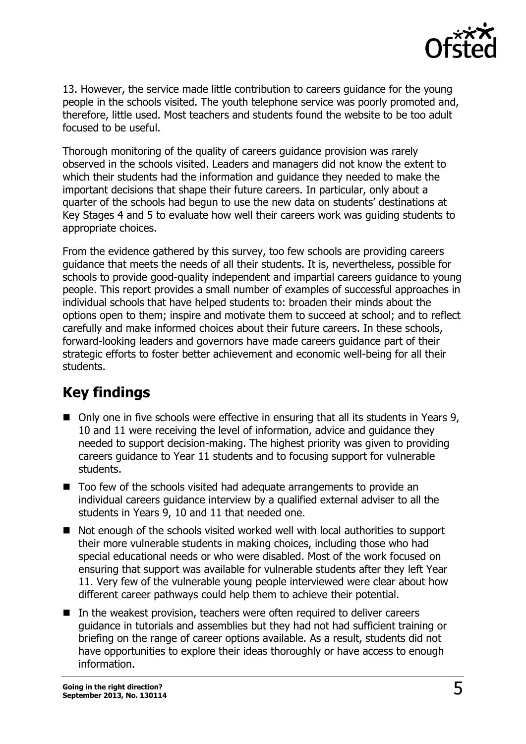

13. However, the service made little contribution to careers guidance for the young people in the schools visited. The youth telephone service was poorly promoted and, therefore, little used. Most teachers and students found the website to be too adult focused to be useful.

Thorough monitoring of the quality of careers guidance provision was rarely observed in the schools visited. Leaders and managers did not know the extent to which their students had the information and guidance they needed to make the important decisions that shape their future careers. In particular, only about a quarter of the schools had begun to use the new data on students' destinations at Key Stages 4 and 5 to evaluate how well their careers work was guiding students to appropriate choices.

From the evidence gathered by this survey, too few schools are providing careers guidance that meets the needs of all their students. It is, nevertheless, possible for schools to provide good-quality independent and impartial careers guidance to young people. This report provides a small number of examples of successful approaches in individual schools that have helped students to: broaden their minds about the options open to them; inspire and motivate them to succeed at school; and to reflect carefully and make informed choices about their future careers. In these schools, forward-looking leaders and governors have made careers guidance part of their strategic efforts to foster better achievement and economic well-being for all their students.

# <span id="page-4-0"></span>**Key findings**

- Only one in five schools were effective in ensuring that all its students in Years 9, 10 and 11 were receiving the level of information, advice and guidance they needed to support decision-making. The highest priority was given to providing careers guidance to Year 11 students and to focusing support for vulnerable students.
- Too few of the schools visited had adequate arrangements to provide an individual careers guidance interview by a qualified external adviser to all the students in Years 9, 10 and 11 that needed one.
- Not enough of the schools visited worked well with local authorities to support their more vulnerable students in making choices, including those who had special educational needs or who were disabled. Most of the work focused on ensuring that support was available for vulnerable students after they left Year 11. Very few of the vulnerable young people interviewed were clear about how different career pathways could help them to achieve their potential.
- In the weakest provision, teachers were often required to deliver careers guidance in tutorials and assemblies but they had not had sufficient training or briefing on the range of career options available. As a result, students did not have opportunities to explore their ideas thoroughly or have access to enough information.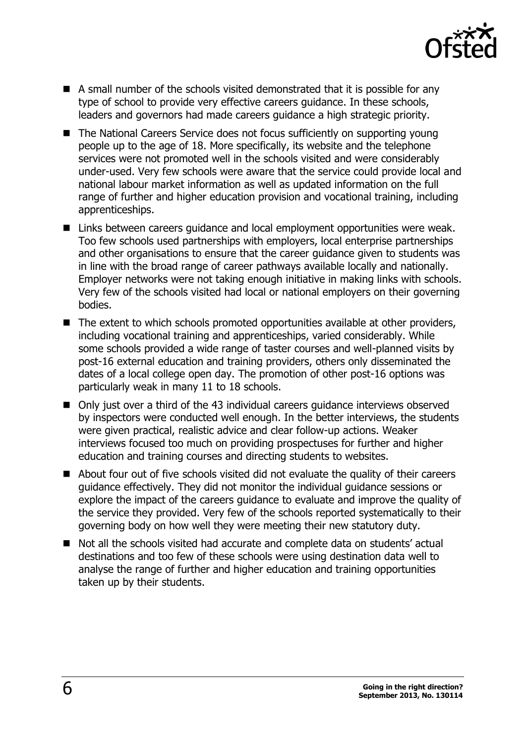

- A small number of the schools visited demonstrated that it is possible for any type of school to provide very effective careers guidance. In these schools, leaders and governors had made careers guidance a high strategic priority.
- The National Careers Service does not focus sufficiently on supporting young people up to the age of 18. More specifically, its website and the telephone services were not promoted well in the schools visited and were considerably under-used. Very few schools were aware that the service could provide local and national labour market information as well as updated information on the full range of further and higher education provision and vocational training, including apprenticeships.
- Links between careers guidance and local employment opportunities were weak. Too few schools used partnerships with employers, local enterprise partnerships and other organisations to ensure that the career guidance given to students was in line with the broad range of career pathways available locally and nationally. Employer networks were not taking enough initiative in making links with schools. Very few of the schools visited had local or national employers on their governing bodies.
- The extent to which schools promoted opportunities available at other providers, including vocational training and apprenticeships, varied considerably. While some schools provided a wide range of taster courses and well-planned visits by post-16 external education and training providers, others only disseminated the dates of a local college open day. The promotion of other post-16 options was particularly weak in many 11 to 18 schools.
- Only just over a third of the 43 individual careers quidance interviews observed by inspectors were conducted well enough. In the better interviews, the students were given practical, realistic advice and clear follow-up actions. Weaker interviews focused too much on providing prospectuses for further and higher education and training courses and directing students to websites.
- About four out of five schools visited did not evaluate the quality of their careers guidance effectively. They did not monitor the individual guidance sessions or explore the impact of the careers guidance to evaluate and improve the quality of the service they provided. Very few of the schools reported systematically to their governing body on how well they were meeting their new statutory duty.
- Not all the schools visited had accurate and complete data on students' actual destinations and too few of these schools were using destination data well to analyse the range of further and higher education and training opportunities taken up by their students.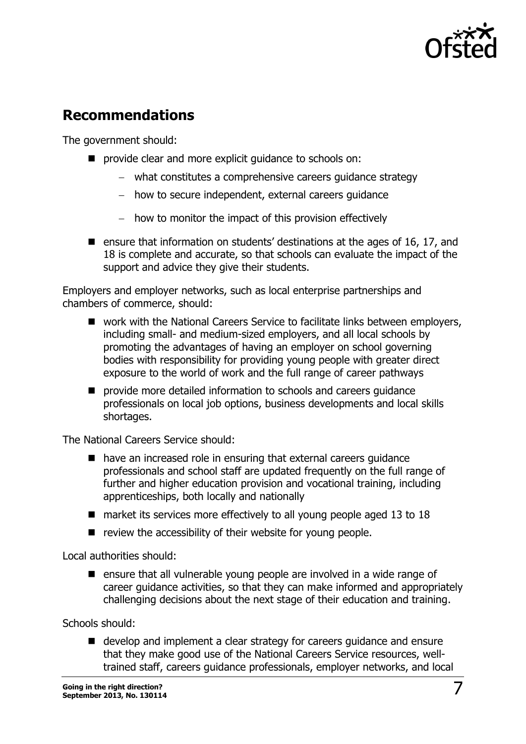

# <span id="page-6-0"></span>**Recommendations**

The government should:

- **P** provide clear and more explicit guidance to schools on:
	- what constitutes a comprehensive careers guidance strategy
	- how to secure independent, external careers guidance
	- how to monitor the impact of this provision effectively
- **E** ensure that information on students' destinations at the ages of 16, 17, and 18 is complete and accurate, so that schools can evaluate the impact of the support and advice they give their students.

Employers and employer networks, such as local enterprise partnerships and chambers of commerce, should:

- work with the National Careers Service to facilitate links between employers, including small- and medium-sized employers, and all local schools by promoting the advantages of having an employer on school governing bodies with responsibility for providing young people with greater direct exposure to the world of work and the full range of career pathways
- **P** provide more detailed information to schools and careers quidance professionals on local job options, business developments and local skills shortages.

The National Careers Service should:

- have an increased role in ensuring that external careers guidance professionals and school staff are updated frequently on the full range of further and higher education provision and vocational training, including apprenticeships, both locally and nationally
- market its services more effectively to all young people aged 13 to 18
- $\blacksquare$  review the accessibility of their website for young people.

Local authorities should:

 $\blacksquare$  ensure that all vulnerable young people are involved in a wide range of career guidance activities, so that they can make informed and appropriately challenging decisions about the next stage of their education and training.

Schools should:

■ develop and implement a clear strategy for careers guidance and ensure that they make good use of the National Careers Service resources, welltrained staff, careers guidance professionals, employer networks, and local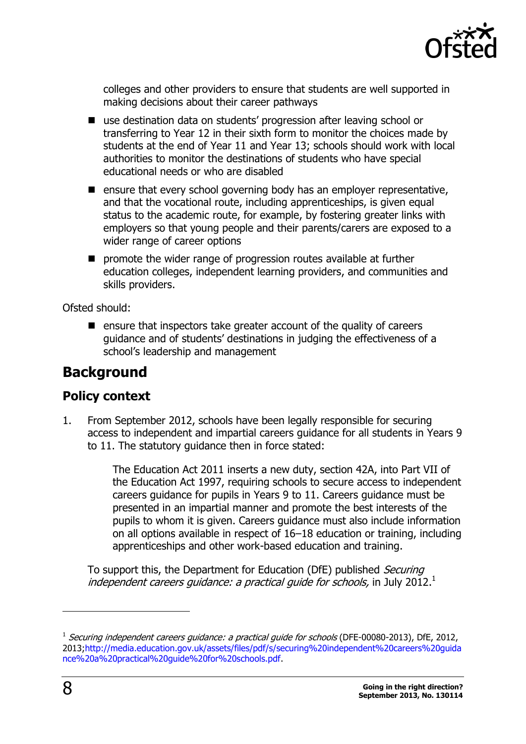

colleges and other providers to ensure that students are well supported in making decisions about their career pathways

- use destination data on students' progression after leaving school or transferring to Year 12 in their sixth form to monitor the choices made by students at the end of Year 11 and Year 13; schools should work with local authorities to monitor the destinations of students who have special educational needs or who are disabled
- $\blacksquare$  ensure that every school governing body has an employer representative, and that the vocational route, including apprenticeships, is given equal status to the academic route, for example, by fostering greater links with employers so that young people and their parents/carers are exposed to a wider range of career options
- **P** promote the wider range of progression routes available at further education colleges, independent learning providers, and communities and skills providers.

Ofsted should:

 $\blacksquare$  ensure that inspectors take greater account of the quality of careers guidance and of students' destinations in judging the effectiveness of a school's leadership and management

# <span id="page-7-0"></span>**Background**

### <span id="page-7-1"></span>**Policy context**

1. From September 2012, schools have been legally responsible for securing access to independent and impartial careers guidance for all students in Years 9 to 11. The statutory guidance then in force stated:

> The Education Act 2011 inserts a new duty, section 42A, into Part VII of the Education Act 1997, requiring schools to secure access to independent careers guidance for pupils in Years 9 to 11. Careers guidance must be presented in an impartial manner and promote the best interests of the pupils to whom it is given. Careers guidance must also include information on all options available in respect of 16–18 education or training, including apprenticeships and other work-based education and training.

To support this, the Department for Education (DfE) published Securing independent careers guidance: a practical guide for schools, in July 2012.<sup>1</sup>

j

 $^1$  Securing independent careers guidance: a practical guide for schools (DFE-00080-2013), DfE, 2012, 2013[;http://media.education.gov.uk/assets/files/pdf/s/securing%20independent%20careers%20guida](http://media.education.gov.uk/assets/files/pdf/s/securing%20independent%20careers%20guidance%20a%20practical%20guide%20for%20schools.pdf) [nce%20a%20practical%20guide%20for%20schools.pdf.](http://media.education.gov.uk/assets/files/pdf/s/securing%20independent%20careers%20guidance%20a%20practical%20guide%20for%20schools.pdf)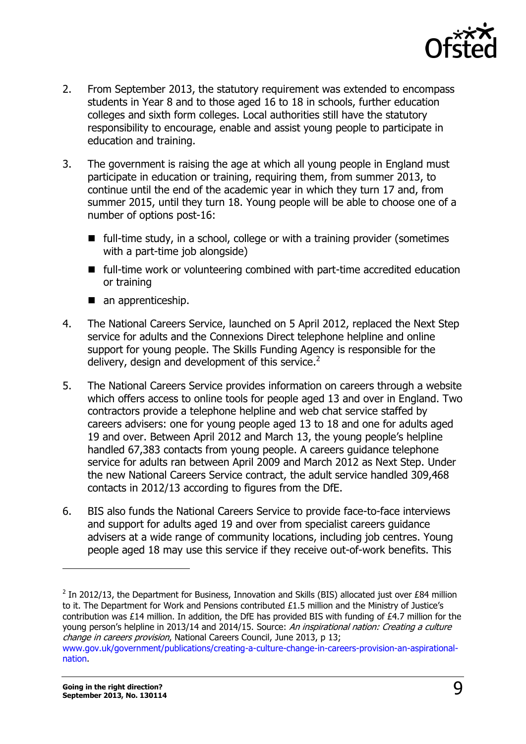

- 2. From September 2013, the statutory requirement was extended to encompass students in Year 8 and to those aged 16 to 18 in schools, further education colleges and sixth form colleges. Local authorities still have the statutory responsibility to encourage, enable and assist young people to participate in education and training.
- 3. The government is raising the age at which all young people in England must participate in education or training, requiring them, from summer 2013, to continue until the end of the academic year in which they turn 17 and, from summer 2015, until they turn 18. Young people will be able to choose one of a number of options post-16:
	- full-time study, in a school, college or with a training provider (sometimes with a part-time job alongside)
	- full-time work or volunteering combined with part-time accredited education or training
	- an apprenticeship.
- 4. The National Careers Service, launched on 5 April 2012, replaced the Next Step service for adults and the Connexions Direct telephone helpline and online support for young people. The Skills Funding Agency is responsible for the delivery, design and development of this service.<sup>2</sup>
- 5. The National Careers Service provides information on careers through a website which offers access to online tools for people aged 13 and over in England. Two contractors provide a telephone helpline and web chat service staffed by careers advisers: one for young people aged 13 to 18 and one for adults aged 19 and over. Between April 2012 and March 13, the young people's helpline handled 67,383 contacts from young people. A careers guidance telephone service for adults ran between April 2009 and March 2012 as Next Step. Under the new National Careers Service contract, the adult service handled 309,468 contacts in 2012/13 according to figures from the DfE.
- 6. BIS also funds the National Careers Service to provide face-to-face interviews and support for adults aged 19 and over from specialist careers guidance advisers at a wide range of community locations, including job centres. Young people aged 18 may use this service if they receive out-of-work benefits. This

 $\overline{a}$ 

<sup>&</sup>lt;sup>2</sup> In 2012/13, the Department for Business, Innovation and Skills (BIS) allocated just over £84 million to it. The Department for Work and Pensions contributed £1.5 million and the Ministry of Justice's contribution was £14 million. In addition, the DfE has provided BIS with funding of £4.7 million for the young person's helpline in 2013/14 and 2014/15. Source: An inspirational nation: Creating a culture change in careers provision, National Careers Council, June 2013, p 13; [www.gov.uk/government/publications/creating-a-culture-change-in-careers-provision-an-aspirational](https://www.gov.uk/government/publications/creating-a-culture-change-in-careers-provision-an-aspirational-nation)[nation.](https://www.gov.uk/government/publications/creating-a-culture-change-in-careers-provision-an-aspirational-nation)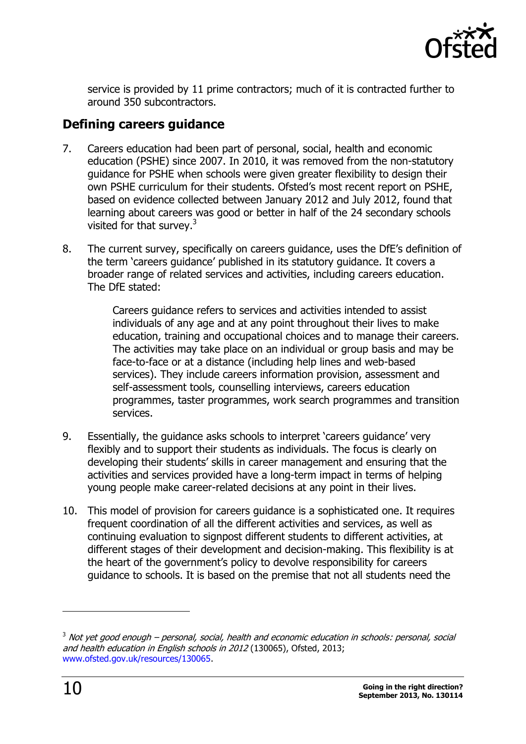

service is provided by 11 prime contractors; much of it is contracted further to around 350 subcontractors.

### <span id="page-9-0"></span>**Defining careers guidance**

- 7. Careers education had been part of personal, social, health and economic education (PSHE) since 2007. In 2010, it was removed from the non-statutory guidance for PSHE when schools were given greater flexibility to design their own PSHE curriculum for their students. Ofsted's most recent report on PSHE, based on evidence collected between January 2012 and July 2012, found that learning about careers was good or better in half of the 24 secondary schools visited for that survey.<sup>3</sup>
- 8. The current survey, specifically on careers guidance, uses the DfE's definition of the term 'careers guidance' published in its statutory guidance. It covers a broader range of related services and activities, including careers education. The DfE stated:

Careers guidance refers to services and activities intended to assist individuals of any age and at any point throughout their lives to make education, training and occupational choices and to manage their careers. The activities may take place on an individual or group basis and may be face-to-face or at a distance (including help lines and web-based services). They include careers information provision, assessment and self-assessment tools, counselling interviews, careers education programmes, taster programmes, work search programmes and transition services.

- 9. Essentially, the guidance asks schools to interpret 'careers guidance' very flexibly and to support their students as individuals. The focus is clearly on developing their students' skills in career management and ensuring that the activities and services provided have a long-term impact in terms of helping young people make career-related decisions at any point in their lives.
- 10. This model of provision for careers guidance is a sophisticated one. It requires frequent coordination of all the different activities and services, as well as continuing evaluation to signpost different students to different activities, at different stages of their development and decision-making. This flexibility is at the heart of the government's policy to devolve responsibility for careers guidance to schools. It is based on the premise that not all students need the

j

 $3$  Not vet good enough – personal, social, health and economic education in schools: personal, social and health education in English schools in 2012 (130065), Ofsted, 2013; [www.ofsted.gov.uk/resources/130065.](http://www.ofsted.gov.uk/resources/130065)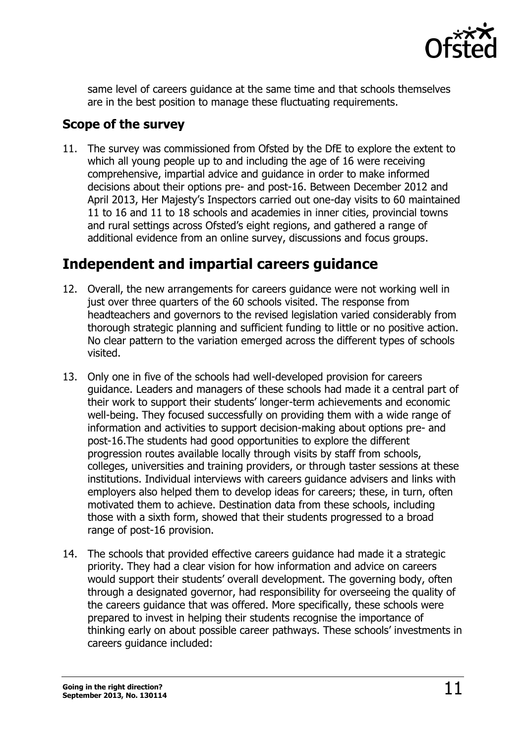

same level of careers guidance at the same time and that schools themselves are in the best position to manage these fluctuating requirements.

### <span id="page-10-0"></span>**Scope of the survey**

11. The survey was commissioned from Ofsted by the DfE to explore the extent to which all young people up to and including the age of 16 were receiving comprehensive, impartial advice and guidance in order to make informed decisions about their options pre- and post-16. Between December 2012 and April 2013, Her Majesty's Inspectors carried out one-day visits to 60 maintained 11 to 16 and 11 to 18 schools and academies in inner cities, provincial towns and rural settings across Ofsted's eight regions, and gathered a range of additional evidence from an online survey, discussions and focus groups.

# <span id="page-10-1"></span>**Independent and impartial careers guidance**

- 12. Overall, the new arrangements for careers guidance were not working well in just over three quarters of the 60 schools visited. The response from headteachers and governors to the revised legislation varied considerably from thorough strategic planning and sufficient funding to little or no positive action. No clear pattern to the variation emerged across the different types of schools visited.
- 13. Only one in five of the schools had well-developed provision for careers guidance. Leaders and managers of these schools had made it a central part of their work to support their students' longer-term achievements and economic well-being. They focused successfully on providing them with a wide range of information and activities to support decision-making about options pre- and post-16.The students had good opportunities to explore the different progression routes available locally through visits by staff from schools, colleges, universities and training providers, or through taster sessions at these institutions. Individual interviews with careers guidance advisers and links with employers also helped them to develop ideas for careers; these, in turn, often motivated them to achieve. Destination data from these schools, including those with a sixth form, showed that their students progressed to a broad range of post-16 provision.
- 14. The schools that provided effective careers guidance had made it a strategic priority. They had a clear vision for how information and advice on careers would support their students' overall development. The governing body, often through a designated governor, had responsibility for overseeing the quality of the careers guidance that was offered. More specifically, these schools were prepared to invest in helping their students recognise the importance of thinking early on about possible career pathways. These schools' investments in careers guidance included: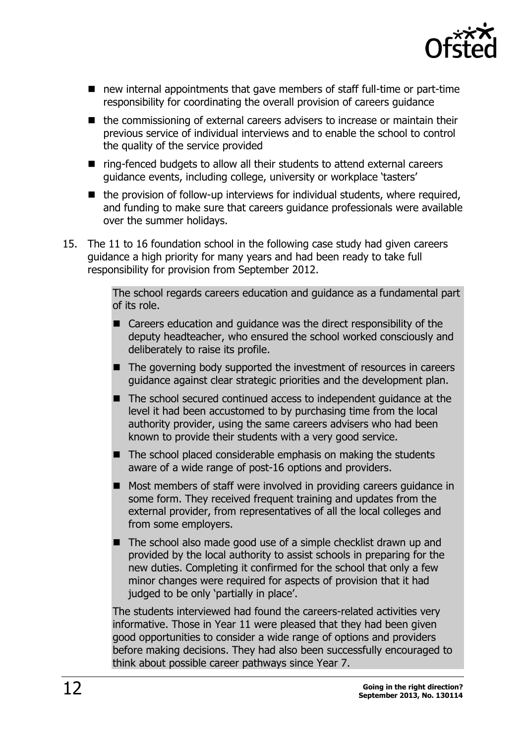

- new internal appointments that gave members of staff full-time or part-time responsibility for coordinating the overall provision of careers guidance
- the commissioning of external careers advisers to increase or maintain their previous service of individual interviews and to enable the school to control the quality of the service provided
- ring-fenced budgets to allow all their students to attend external careers guidance events, including college, university or workplace 'tasters'
- $\blacksquare$  the provision of follow-up interviews for individual students, where required, and funding to make sure that careers guidance professionals were available over the summer holidays.
- 15. The 11 to 16 foundation school in the following case study had given careers guidance a high priority for many years and had been ready to take full responsibility for provision from September 2012.

The school regards careers education and guidance as a fundamental part of its role.

- Careers education and quidance was the direct responsibility of the deputy headteacher, who ensured the school worked consciously and deliberately to raise its profile.
- The governing body supported the investment of resources in careers guidance against clear strategic priorities and the development plan.
- The school secured continued access to independent quidance at the level it had been accustomed to by purchasing time from the local authority provider, using the same careers advisers who had been known to provide their students with a very good service.
- $\blacksquare$  The school placed considerable emphasis on making the students aware of a wide range of post-16 options and providers.
- Most members of staff were involved in providing careers guidance in some form. They received frequent training and updates from the external provider, from representatives of all the local colleges and from some employers.
- The school also made good use of a simple checklist drawn up and provided by the local authority to assist schools in preparing for the new duties. Completing it confirmed for the school that only a few minor changes were required for aspects of provision that it had judged to be only 'partially in place'.

The students interviewed had found the careers-related activities very informative. Those in Year 11 were pleased that they had been given good opportunities to consider a wide range of options and providers before making decisions. They had also been successfully encouraged to think about possible career pathways since Year 7.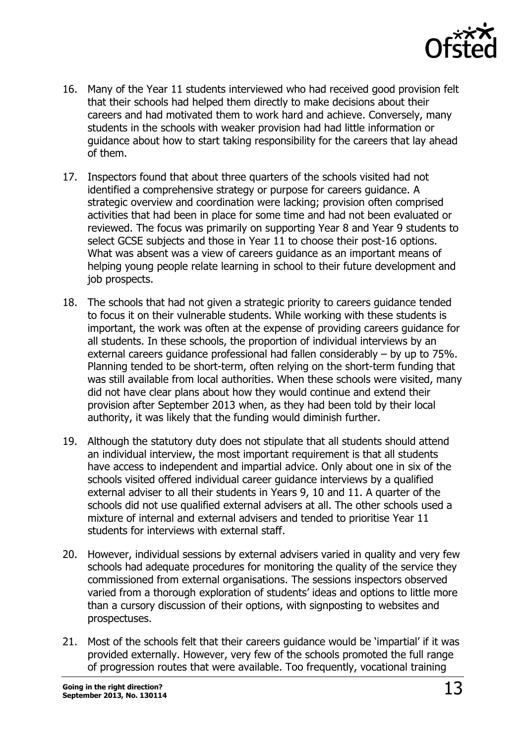

- 16. Many of the Year 11 students interviewed who had received good provision felt that their schools had helped them directly to make decisions about their careers and had motivated them to work hard and achieve. Conversely, many students in the schools with weaker provision had had little information or guidance about how to start taking responsibility for the careers that lay ahead of them.
- 17. Inspectors found that about three quarters of the schools visited had not identified a comprehensive strategy or purpose for careers guidance. A strategic overview and coordination were lacking; provision often comprised activities that had been in place for some time and had not been evaluated or reviewed. The focus was primarily on supporting Year 8 and Year 9 students to select GCSE subjects and those in Year 11 to choose their post-16 options. What was absent was a view of careers guidance as an important means of helping young people relate learning in school to their future development and job prospects.
- 18. The schools that had not given a strategic priority to careers guidance tended to focus it on their vulnerable students. While working with these students is important, the work was often at the expense of providing careers guidance for all students. In these schools, the proportion of individual interviews by an external careers guidance professional had fallen considerably – by up to 75%. Planning tended to be short-term, often relying on the short-term funding that was still available from local authorities. When these schools were visited, many did not have clear plans about how they would continue and extend their provision after September 2013 when, as they had been told by their local authority, it was likely that the funding would diminish further.
- 19. Although the statutory duty does not stipulate that all students should attend an individual interview, the most important requirement is that all students have access to independent and impartial advice. Only about one in six of the schools visited offered individual career guidance interviews by a qualified external adviser to all their students in Years 9, 10 and 11. A quarter of the schools did not use qualified external advisers at all. The other schools used a mixture of internal and external advisers and tended to prioritise Year 11 students for interviews with external staff.
- 20. However, individual sessions by external advisers varied in quality and very few schools had adequate procedures for monitoring the quality of the service they commissioned from external organisations. The sessions inspectors observed varied from a thorough exploration of students' ideas and options to little more than a cursory discussion of their options, with signposting to websites and prospectuses.
- 21. Most of the schools felt that their careers guidance would be 'impartial' if it was provided externally. However, very few of the schools promoted the full range of progression routes that were available. Too frequently, vocational training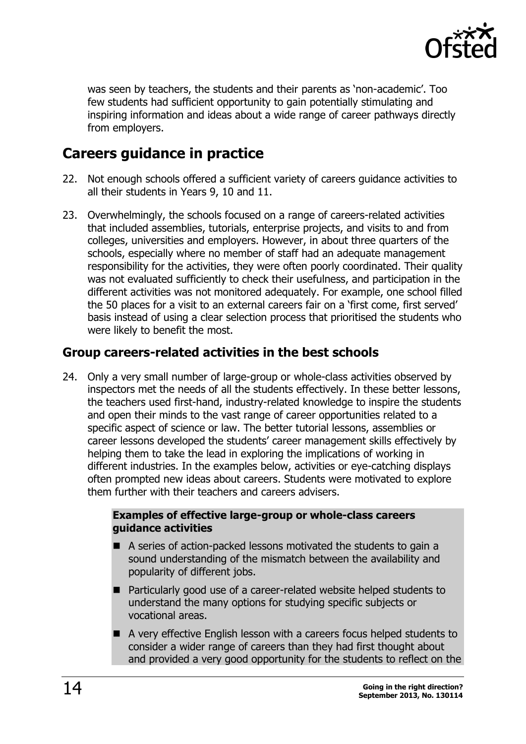

was seen by teachers, the students and their parents as 'non-academic'. Too few students had sufficient opportunity to gain potentially stimulating and inspiring information and ideas about a wide range of career pathways directly from employers.

# <span id="page-13-0"></span>**Careers guidance in practice**

- 22. Not enough schools offered a sufficient variety of careers guidance activities to all their students in Years 9, 10 and 11.
- 23. Overwhelmingly, the schools focused on a range of careers-related activities that included assemblies, tutorials, enterprise projects, and visits to and from colleges, universities and employers. However, in about three quarters of the schools, especially where no member of staff had an adequate management responsibility for the activities, they were often poorly coordinated. Their quality was not evaluated sufficiently to check their usefulness, and participation in the different activities was not monitored adequately. For example, one school filled the 50 places for a visit to an external careers fair on a 'first come, first served' basis instead of using a clear selection process that prioritised the students who were likely to benefit the most.

### <span id="page-13-1"></span>**Group careers-related activities in the best schools**

24. Only a very small number of large-group or whole-class activities observed by inspectors met the needs of all the students effectively. In these better lessons, the teachers used first-hand, industry-related knowledge to inspire the students and open their minds to the vast range of career opportunities related to a specific aspect of science or law. The better tutorial lessons, assemblies or career lessons developed the students' career management skills effectively by helping them to take the lead in exploring the implications of working in different industries. In the examples below, activities or eye-catching displays often prompted new ideas about careers. Students were motivated to explore them further with their teachers and careers advisers.

#### **Examples of effective large-group or whole-class careers guidance activities**

- A series of action-packed lessons motivated the students to gain a sound understanding of the mismatch between the availability and popularity of different jobs.
- Particularly good use of a career-related website helped students to understand the many options for studying specific subjects or vocational areas.
- A very effective English lesson with a careers focus helped students to consider a wider range of careers than they had first thought about and provided a very good opportunity for the students to reflect on the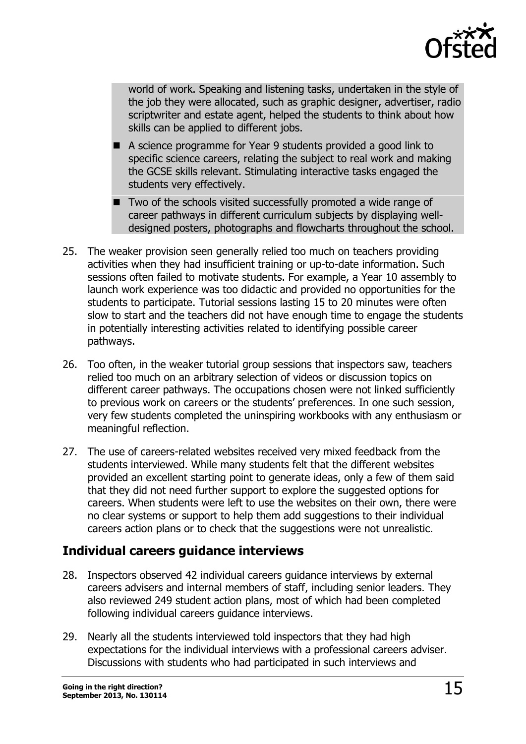

world of work. Speaking and listening tasks, undertaken in the style of the job they were allocated, such as graphic designer, advertiser, radio scriptwriter and estate agent, helped the students to think about how skills can be applied to different jobs.

- A science programme for Year 9 students provided a good link to specific science careers, relating the subject to real work and making the GCSE skills relevant. Stimulating interactive tasks engaged the students very effectively.
- Two of the schools visited successfully promoted a wide range of career pathways in different curriculum subjects by displaying welldesigned posters, photographs and flowcharts throughout the school.
- 25. The weaker provision seen generally relied too much on teachers providing activities when they had insufficient training or up-to-date information. Such sessions often failed to motivate students. For example, a Year 10 assembly to launch work experience was too didactic and provided no opportunities for the students to participate. Tutorial sessions lasting 15 to 20 minutes were often slow to start and the teachers did not have enough time to engage the students in potentially interesting activities related to identifying possible career pathways.
- 26. Too often, in the weaker tutorial group sessions that inspectors saw, teachers relied too much on an arbitrary selection of videos or discussion topics on different career pathways. The occupations chosen were not linked sufficiently to previous work on careers or the students' preferences. In one such session, very few students completed the uninspiring workbooks with any enthusiasm or meaningful reflection.
- 27. The use of careers-related websites received very mixed feedback from the students interviewed. While many students felt that the different websites provided an excellent starting point to generate ideas, only a few of them said that they did not need further support to explore the suggested options for careers. When students were left to use the websites on their own, there were no clear systems or support to help them add suggestions to their individual careers action plans or to check that the suggestions were not unrealistic.

### <span id="page-14-0"></span>**Individual careers guidance interviews**

- 28. Inspectors observed 42 individual careers guidance interviews by external careers advisers and internal members of staff, including senior leaders. They also reviewed 249 student action plans, most of which had been completed following individual careers guidance interviews.
- 29. Nearly all the students interviewed told inspectors that they had high expectations for the individual interviews with a professional careers adviser. Discussions with students who had participated in such interviews and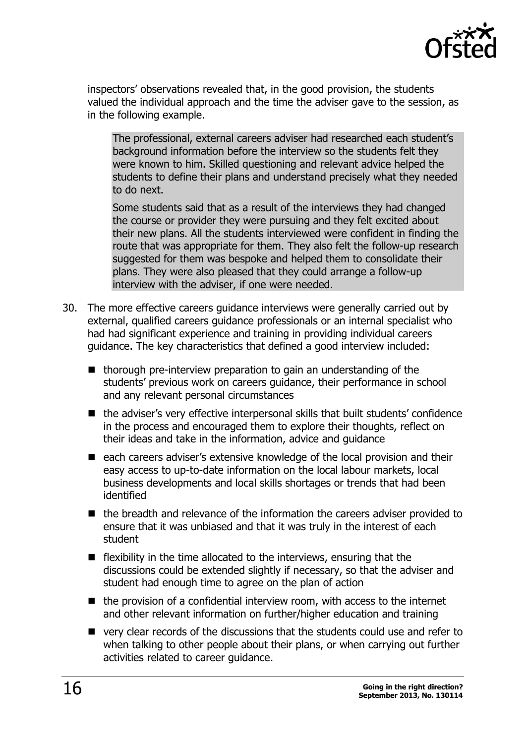

inspectors' observations revealed that, in the good provision, the students valued the individual approach and the time the adviser gave to the session, as in the following example.

The professional, external careers adviser had researched each student's background information before the interview so the students felt they were known to him. Skilled questioning and relevant advice helped the students to define their plans and understand precisely what they needed to do next.

Some students said that as a result of the interviews they had changed the course or provider they were pursuing and they felt excited about their new plans. All the students interviewed were confident in finding the route that was appropriate for them. They also felt the follow-up research suggested for them was bespoke and helped them to consolidate their plans. They were also pleased that they could arrange a follow-up interview with the adviser, if one were needed.

- 30. The more effective careers guidance interviews were generally carried out by external, qualified careers guidance professionals or an internal specialist who had had significant experience and training in providing individual careers guidance. The key characteristics that defined a good interview included:
	- $\blacksquare$  thorough pre-interview preparation to gain an understanding of the students' previous work on careers guidance, their performance in school and any relevant personal circumstances
	- the adviser's very effective interpersonal skills that built students' confidence in the process and encouraged them to explore their thoughts, reflect on their ideas and take in the information, advice and guidance
	- each careers adviser's extensive knowledge of the local provision and their easy access to up-to-date information on the local labour markets, local business developments and local skills shortages or trends that had been identified
	- the breadth and relevance of the information the careers adviser provided to ensure that it was unbiased and that it was truly in the interest of each student
	- $\blacksquare$  flexibility in the time allocated to the interviews, ensuring that the discussions could be extended slightly if necessary, so that the adviser and student had enough time to agree on the plan of action
	- $\blacksquare$  the provision of a confidential interview room, with access to the internet and other relevant information on further/higher education and training
	- very clear records of the discussions that the students could use and refer to when talking to other people about their plans, or when carrying out further activities related to career guidance.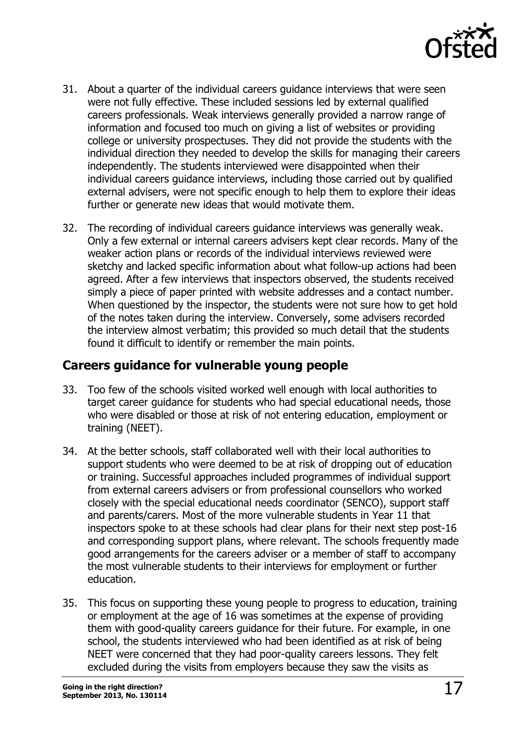

- 31. About a quarter of the individual careers guidance interviews that were seen were not fully effective. These included sessions led by external qualified careers professionals. Weak interviews generally provided a narrow range of information and focused too much on giving a list of websites or providing college or university prospectuses. They did not provide the students with the individual direction they needed to develop the skills for managing their careers independently. The students interviewed were disappointed when their individual careers guidance interviews, including those carried out by qualified external advisers, were not specific enough to help them to explore their ideas further or generate new ideas that would motivate them.
- 32. The recording of individual careers guidance interviews was generally weak. Only a few external or internal careers advisers kept clear records. Many of the weaker action plans or records of the individual interviews reviewed were sketchy and lacked specific information about what follow-up actions had been agreed. After a few interviews that inspectors observed, the students received simply a piece of paper printed with website addresses and a contact number. When questioned by the inspector, the students were not sure how to get hold of the notes taken during the interview. Conversely, some advisers recorded the interview almost verbatim; this provided so much detail that the students found it difficult to identify or remember the main points.

### <span id="page-16-0"></span>**Careers guidance for vulnerable young people**

- 33. Too few of the schools visited worked well enough with local authorities to target career guidance for students who had special educational needs, those who were disabled or those at risk of not entering education, employment or training (NEET).
- 34. At the better schools, staff collaborated well with their local authorities to support students who were deemed to be at risk of dropping out of education or training. Successful approaches included programmes of individual support from external careers advisers or from professional counsellors who worked closely with the special educational needs coordinator (SENCO), support staff and parents/carers. Most of the more vulnerable students in Year 11 that inspectors spoke to at these schools had clear plans for their next step post-16 and corresponding support plans, where relevant. The schools frequently made good arrangements for the careers adviser or a member of staff to accompany the most vulnerable students to their interviews for employment or further education.
- 35. This focus on supporting these young people to progress to education, training or employment at the age of 16 was sometimes at the expense of providing them with good-quality careers guidance for their future. For example, in one school, the students interviewed who had been identified as at risk of being NEET were concerned that they had poor-quality careers lessons. They felt excluded during the visits from employers because they saw the visits as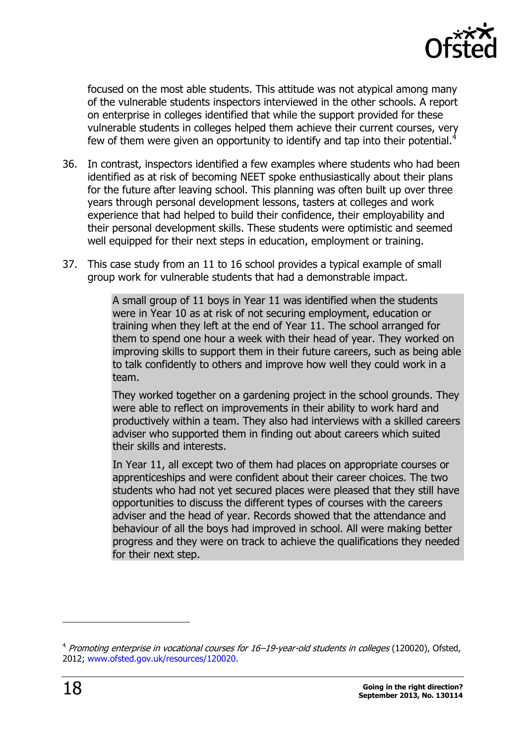

focused on the most able students. This attitude was not atypical among many of the vulnerable students inspectors interviewed in the other schools. A report on enterprise in colleges identified that while the support provided for these vulnerable students in colleges helped them achieve their current courses, very few of them were given an opportunity to identify and tap into their potential.<sup>4</sup>

- 36. In contrast, inspectors identified a few examples where students who had been identified as at risk of becoming NEET spoke enthusiastically about their plans for the future after leaving school. This planning was often built up over three years through personal development lessons, tasters at colleges and work experience that had helped to build their confidence, their employability and their personal development skills. These students were optimistic and seemed well equipped for their next steps in education, employment or training.
- 37. This case study from an 11 to 16 school provides a typical example of small group work for vulnerable students that had a demonstrable impact.

A small group of 11 boys in Year 11 was identified when the students were in Year 10 as at risk of not securing employment, education or training when they left at the end of Year 11. The school arranged for them to spend one hour a week with their head of year. They worked on improving skills to support them in their future careers, such as being able to talk confidently to others and improve how well they could work in a team.

They worked together on a gardening project in the school grounds. They were able to reflect on improvements in their ability to work hard and productively within a team. They also had interviews with a skilled careers adviser who supported them in finding out about careers which suited their skills and interests.

In Year 11, all except two of them had places on appropriate courses or apprenticeships and were confident about their career choices. The two students who had not yet secured places were pleased that they still have opportunities to discuss the different types of courses with the careers adviser and the head of year. Records showed that the attendance and behaviour of all the boys had improved in school. All were making better progress and they were on track to achieve the qualifications they needed for their next step.

 $\overline{a}$ 

<sup>&</sup>lt;sup>4</sup> Promoting enterprise in vocational courses for 16–19-year-old students in colleges (120020), Ofsted, 2012; [www.ofsted.gov.uk/resources/120020.](http://www.ofsted.gov.uk/resources/120020)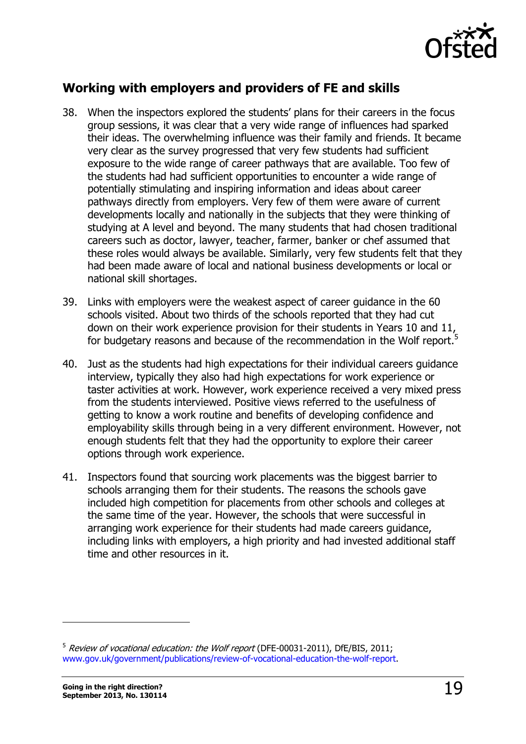

### <span id="page-18-0"></span>**Working with employers and providers of FE and skills**

- 38. When the inspectors explored the students' plans for their careers in the focus group sessions, it was clear that a very wide range of influences had sparked their ideas. The overwhelming influence was their family and friends. It became very clear as the survey progressed that very few students had sufficient exposure to the wide range of career pathways that are available. Too few of the students had had sufficient opportunities to encounter a wide range of potentially stimulating and inspiring information and ideas about career pathways directly from employers. Very few of them were aware of current developments locally and nationally in the subjects that they were thinking of studying at A level and beyond. The many students that had chosen traditional careers such as doctor, lawyer, teacher, farmer, banker or chef assumed that these roles would always be available. Similarly, very few students felt that they had been made aware of local and national business developments or local or national skill shortages.
- 39. Links with employers were the weakest aspect of career guidance in the 60 schools visited. About two thirds of the schools reported that they had cut down on their work experience provision for their students in Years 10 and 11, for budgetary reasons and because of the recommendation in the Wolf report.<sup>5</sup>
- 40. Just as the students had high expectations for their individual careers guidance interview, typically they also had high expectations for work experience or taster activities at work. However, work experience received a very mixed press from the students interviewed. Positive views referred to the usefulness of getting to know a work routine and benefits of developing confidence and employability skills through being in a very different environment. However, not enough students felt that they had the opportunity to explore their career options through work experience.
- 41. Inspectors found that sourcing work placements was the biggest barrier to schools arranging them for their students. The reasons the schools gave included high competition for placements from other schools and colleges at the same time of the year. However, the schools that were successful in arranging work experience for their students had made careers guidance, including links with employers, a high priority and had invested additional staff time and other resources in it.

 $\overline{a}$ 

 $5$  Review of vocational education: the Wolf report (DFE-00031-2011), DfE/BIS, 2011; [www.gov.uk/government/publications/review-of-vocational-education-the-wolf-report.](http://www.gov.uk/government/publications/review-of-vocational-education-the-wolf-report)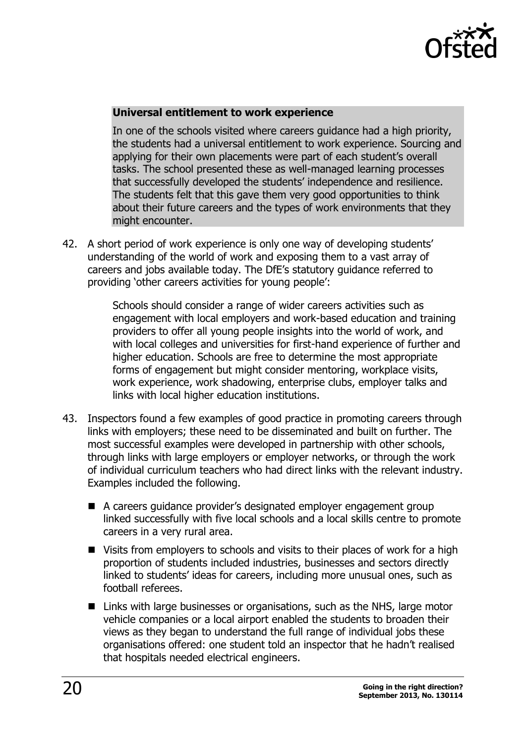

#### **Universal entitlement to work experience**

In one of the schools visited where careers guidance had a high priority, the students had a universal entitlement to work experience. Sourcing and applying for their own placements were part of each student's overall tasks. The school presented these as well-managed learning processes that successfully developed the students' independence and resilience. The students felt that this gave them very good opportunities to think about their future careers and the types of work environments that they might encounter.

42. A short period of work experience is only one way of developing students' understanding of the world of work and exposing them to a vast array of careers and jobs available today. The DfE's statutory guidance referred to providing 'other careers activities for young people':

> Schools should consider a range of wider careers activities such as engagement with local employers and work-based education and training providers to offer all young people insights into the world of work, and with local colleges and universities for first-hand experience of further and higher education. Schools are free to determine the most appropriate forms of engagement but might consider mentoring, workplace visits, work experience, work shadowing, enterprise clubs, employer talks and links with local higher education institutions.

- 43. Inspectors found a few examples of good practice in promoting careers through links with employers; these need to be disseminated and built on further. The most successful examples were developed in partnership with other schools, through links with large employers or employer networks, or through the work of individual curriculum teachers who had direct links with the relevant industry. Examples included the following.
	- A careers guidance provider's designated employer engagement group linked successfully with five local schools and a local skills centre to promote careers in a very rural area.
	- Visits from employers to schools and visits to their places of work for a high proportion of students included industries, businesses and sectors directly linked to students' ideas for careers, including more unusual ones, such as football referees.
	- Links with large businesses or organisations, such as the NHS, large motor vehicle companies or a local airport enabled the students to broaden their views as they began to understand the full range of individual jobs these organisations offered: one student told an inspector that he hadn't realised that hospitals needed electrical engineers.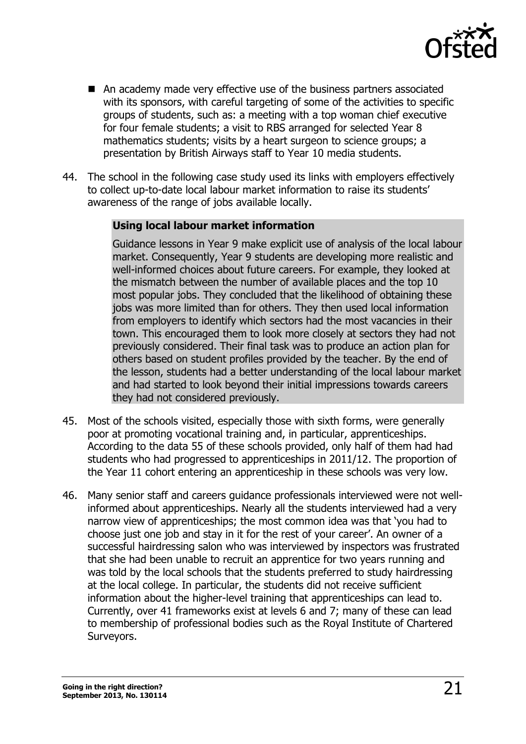

- An academy made very effective use of the business partners associated with its sponsors, with careful targeting of some of the activities to specific groups of students, such as: a meeting with a top woman chief executive for four female students; a visit to RBS arranged for selected Year 8 mathematics students; visits by a heart surgeon to science groups; a presentation by British Airways staff to Year 10 media students.
- 44. The school in the following case study used its links with employers effectively to collect up-to-date local labour market information to raise its students' awareness of the range of jobs available locally.

#### **Using local labour market information**

Guidance lessons in Year 9 make explicit use of analysis of the local labour market. Consequently, Year 9 students are developing more realistic and well-informed choices about future careers. For example, they looked at the mismatch between the number of available places and the top 10 most popular jobs. They concluded that the likelihood of obtaining these jobs was more limited than for others. They then used local information from employers to identify which sectors had the most vacancies in their town. This encouraged them to look more closely at sectors they had not previously considered. Their final task was to produce an action plan for others based on student profiles provided by the teacher. By the end of the lesson, students had a better understanding of the local labour market and had started to look beyond their initial impressions towards careers they had not considered previously.

- 45. Most of the schools visited, especially those with sixth forms, were generally poor at promoting vocational training and, in particular, apprenticeships. According to the data 55 of these schools provided, only half of them had had students who had progressed to apprenticeships in 2011/12. The proportion of the Year 11 cohort entering an apprenticeship in these schools was very low.
- 46. Many senior staff and careers guidance professionals interviewed were not wellinformed about apprenticeships. Nearly all the students interviewed had a very narrow view of apprenticeships; the most common idea was that 'you had to choose just one job and stay in it for the rest of your career'. An owner of a successful hairdressing salon who was interviewed by inspectors was frustrated that she had been unable to recruit an apprentice for two years running and was told by the local schools that the students preferred to study hairdressing at the local college. In particular, the students did not receive sufficient information about the higher-level training that apprenticeships can lead to. Currently, over 41 frameworks exist at levels 6 and 7; many of these can lead to membership of professional bodies such as the Royal Institute of Chartered Surveyors.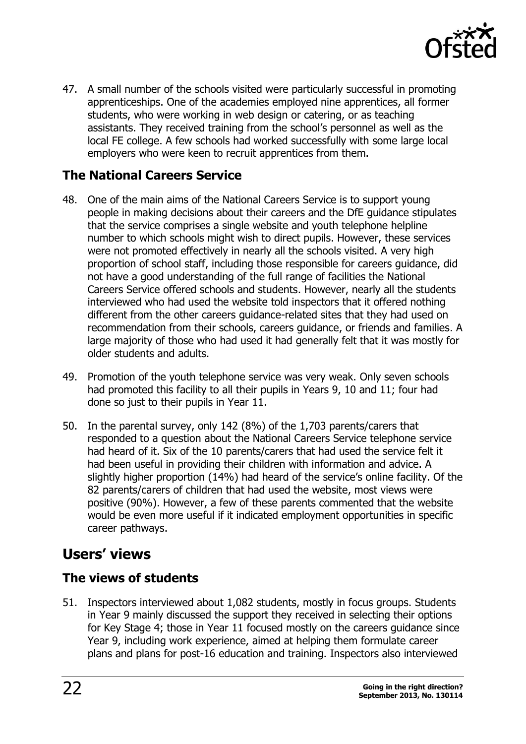

47. A small number of the schools visited were particularly successful in promoting apprenticeships. One of the academies employed nine apprentices, all former students, who were working in web design or catering, or as teaching assistants. They received training from the school's personnel as well as the local FE college. A few schools had worked successfully with some large local employers who were keen to recruit apprentices from them.

### <span id="page-21-0"></span>**The National Careers Service**

- 48. One of the main aims of the National Careers Service is to support young people in making decisions about their careers and the DfE guidance stipulates that the service comprises a single website and youth telephone helpline number to which schools might wish to direct pupils. However, these services were not promoted effectively in nearly all the schools visited. A very high proportion of school staff, including those responsible for careers guidance, did not have a good understanding of the full range of facilities the National Careers Service offered schools and students. However, nearly all the students interviewed who had used the website told inspectors that it offered nothing different from the other careers guidance-related sites that they had used on recommendation from their schools, careers guidance, or friends and families. A large majority of those who had used it had generally felt that it was mostly for older students and adults.
- 49. Promotion of the youth telephone service was very weak. Only seven schools had promoted this facility to all their pupils in Years 9, 10 and 11; four had done so just to their pupils in Year 11.
- 50. In the parental survey, only 142 (8%) of the 1,703 parents/carers that responded to a question about the National Careers Service telephone service had heard of it. Six of the 10 parents/carers that had used the service felt it had been useful in providing their children with information and advice. A slightly higher proportion (14%) had heard of the service's online facility. Of the 82 parents/carers of children that had used the website, most views were positive (90%). However, a few of these parents commented that the website would be even more useful if it indicated employment opportunities in specific career pathways.

# <span id="page-21-1"></span>**Users' views**

### <span id="page-21-2"></span>**The views of students**

51. Inspectors interviewed about 1,082 students, mostly in focus groups. Students in Year 9 mainly discussed the support they received in selecting their options for Key Stage 4; those in Year 11 focused mostly on the careers guidance since Year 9, including work experience, aimed at helping them formulate career plans and plans for post-16 education and training. Inspectors also interviewed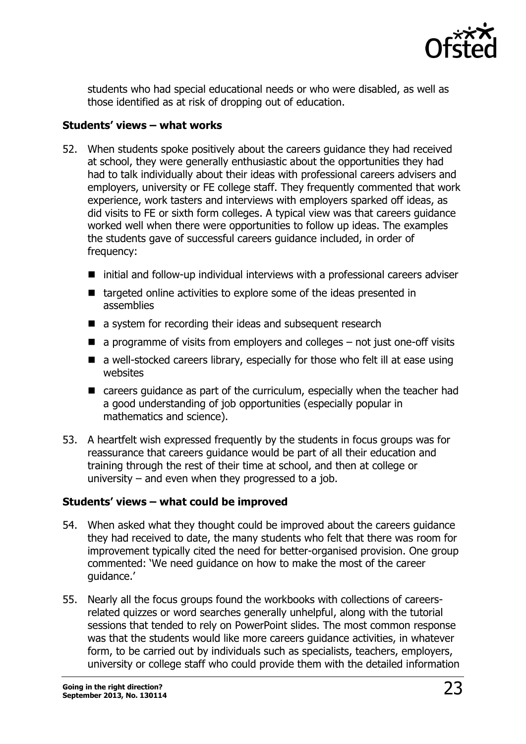

students who had special educational needs or who were disabled, as well as those identified as at risk of dropping out of education.

#### **Students' views – what works**

- 52. When students spoke positively about the careers guidance they had received at school, they were generally enthusiastic about the opportunities they had had to talk individually about their ideas with professional careers advisers and employers, university or FE college staff. They frequently commented that work experience, work tasters and interviews with employers sparked off ideas, as did visits to FE or sixth form colleges. A typical view was that careers guidance worked well when there were opportunities to follow up ideas. The examples the students gave of successful careers guidance included, in order of frequency:
	- $\blacksquare$  initial and follow-up individual interviews with a professional careers adviser
	- targeted online activities to explore some of the ideas presented in assemblies
	- a system for recording their ideas and subsequent research
	- $\blacksquare$  a programme of visits from employers and colleges  $-$  not just one-off visits
	- $\blacksquare$  a well-stocked careers library, especially for those who felt ill at ease using websites
	- careers guidance as part of the curriculum, especially when the teacher had a good understanding of job opportunities (especially popular in mathematics and science).
- 53. A heartfelt wish expressed frequently by the students in focus groups was for reassurance that careers guidance would be part of all their education and training through the rest of their time at school, and then at college or university – and even when they progressed to a job.

#### **Students' views – what could be improved**

- 54. When asked what they thought could be improved about the careers guidance they had received to date, the many students who felt that there was room for improvement typically cited the need for better-organised provision. One group commented: 'We need guidance on how to make the most of the career guidance.'
- 55. Nearly all the focus groups found the workbooks with collections of careersrelated quizzes or word searches generally unhelpful, along with the tutorial sessions that tended to rely on PowerPoint slides. The most common response was that the students would like more careers guidance activities, in whatever form, to be carried out by individuals such as specialists, teachers, employers, university or college staff who could provide them with the detailed information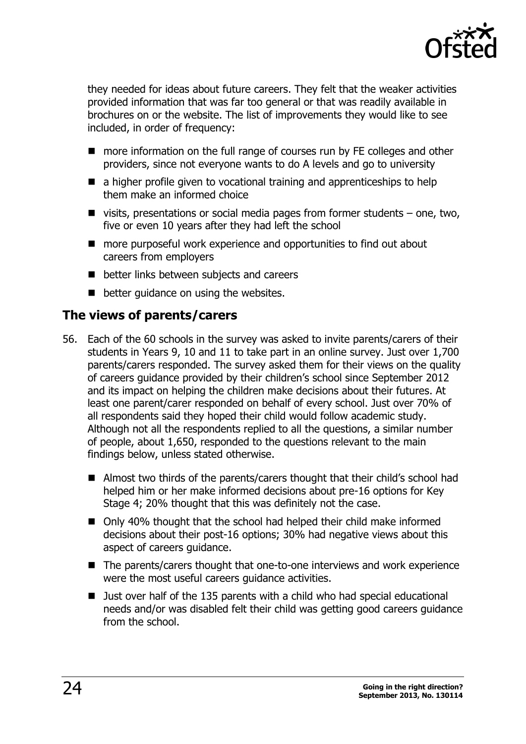

they needed for ideas about future careers. They felt that the weaker activities provided information that was far too general or that was readily available in brochures on or the website. The list of improvements they would like to see included, in order of frequency:

- more information on the full range of courses run by FE colleges and other providers, since not everyone wants to do A levels and go to university
- $\blacksquare$  a higher profile given to vocational training and apprenticeships to help them make an informed choice
- $\blacksquare$  visits, presentations or social media pages from former students  $-$  one, two, five or even 10 years after they had left the school
- more purposeful work experience and opportunities to find out about careers from employers
- better links between subjects and careers
- **better guidance on using the websites.**

### <span id="page-23-0"></span>**The views of parents/carers**

- 56. Each of the 60 schools in the survey was asked to invite parents/carers of their students in Years 9, 10 and 11 to take part in an online survey. Just over 1,700 parents/carers responded. The survey asked them for their views on the quality of careers guidance provided by their children's school since September 2012 and its impact on helping the children make decisions about their futures. At least one parent/carer responded on behalf of every school. Just over 70% of all respondents said they hoped their child would follow academic study. Although not all the respondents replied to all the questions, a similar number of people, about 1,650, responded to the questions relevant to the main findings below, unless stated otherwise.
	- Almost two thirds of the parents/carers thought that their child's school had helped him or her make informed decisions about pre-16 options for Key Stage 4; 20% thought that this was definitely not the case.
	- Only 40% thought that the school had helped their child make informed decisions about their post-16 options; 30% had negative views about this aspect of careers guidance.
	- The parents/carers thought that one-to-one interviews and work experience were the most useful careers guidance activities.
	- Just over half of the 135 parents with a child who had special educational needs and/or was disabled felt their child was getting good careers guidance from the school.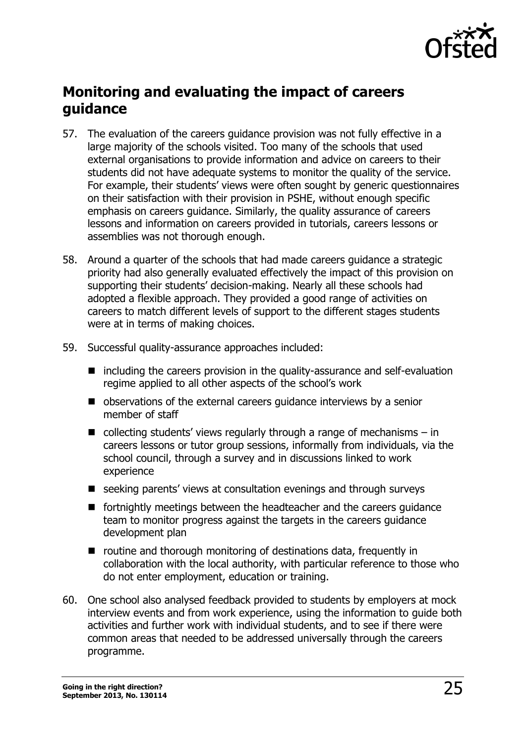

# <span id="page-24-0"></span>**Monitoring and evaluating the impact of careers guidance**

- 57. The evaluation of the careers guidance provision was not fully effective in a large majority of the schools visited. Too many of the schools that used external organisations to provide information and advice on careers to their students did not have adequate systems to monitor the quality of the service. For example, their students' views were often sought by generic questionnaires on their satisfaction with their provision in PSHE, without enough specific emphasis on careers guidance. Similarly, the quality assurance of careers lessons and information on careers provided in tutorials, careers lessons or assemblies was not thorough enough.
- 58. Around a quarter of the schools that had made careers guidance a strategic priority had also generally evaluated effectively the impact of this provision on supporting their students' decision-making. Nearly all these schools had adopted a flexible approach. They provided a good range of activities on careers to match different levels of support to the different stages students were at in terms of making choices.
- 59. Successful quality-assurance approaches included:
	- $\blacksquare$  including the careers provision in the quality-assurance and self-evaluation regime applied to all other aspects of the school's work
	- observations of the external careers quidance interviews by a senior member of staff
	- collecting students' views regularly through a range of mechanisms  $-$  in careers lessons or tutor group sessions, informally from individuals, via the school council, through a survey and in discussions linked to work experience
	- seeking parents' views at consultation evenings and through surveys
	- **F** fortnightly meetings between the headteacher and the careers guidance team to monitor progress against the targets in the careers guidance development plan
	- routine and thorough monitoring of destinations data, frequently in collaboration with the local authority, with particular reference to those who do not enter employment, education or training.
- 60. One school also analysed feedback provided to students by employers at mock interview events and from work experience, using the information to guide both activities and further work with individual students, and to see if there were common areas that needed to be addressed universally through the careers programme.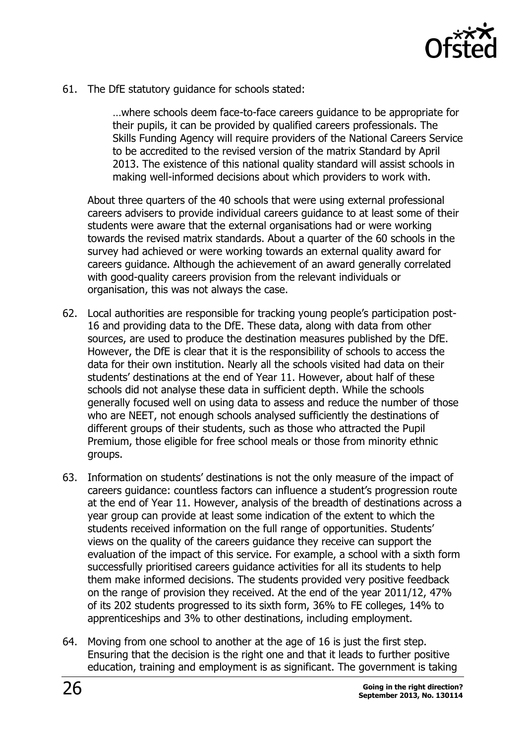

61. The DfE statutory guidance for schools stated:

…where schools deem face-to-face careers guidance to be appropriate for their pupils, it can be provided by qualified careers professionals. The Skills Funding Agency will require providers of the National Careers Service to be accredited to the revised version of the matrix Standard by April 2013. The existence of this national quality standard will assist schools in making well-informed decisions about which providers to work with.

About three quarters of the 40 schools that were using external professional careers advisers to provide individual careers guidance to at least some of their students were aware that the external organisations had or were working towards the revised matrix standards. About a quarter of the 60 schools in the survey had achieved or were working towards an external quality award for careers guidance. Although the achievement of an award generally correlated with good-quality careers provision from the relevant individuals or organisation, this was not always the case.

- 62. Local authorities are responsible for tracking young people's participation post-16 and providing data to the DfE. These data, along with data from other sources, are used to produce the destination measures published by the DfE. However, the DfE is clear that it is the responsibility of schools to access the data for their own institution. Nearly all the schools visited had data on their students' destinations at the end of Year 11. However, about half of these schools did not analyse these data in sufficient depth. While the schools generally focused well on using data to assess and reduce the number of those who are NEET, not enough schools analysed sufficiently the destinations of different groups of their students, such as those who attracted the Pupil Premium, those eligible for free school meals or those from minority ethnic groups.
- 63. Information on students' destinations is not the only measure of the impact of careers guidance: countless factors can influence a student's progression route at the end of Year 11. However, analysis of the breadth of destinations across a year group can provide at least some indication of the extent to which the students received information on the full range of opportunities. Students' views on the quality of the careers guidance they receive can support the evaluation of the impact of this service. For example, a school with a sixth form successfully prioritised careers guidance activities for all its students to help them make informed decisions. The students provided very positive feedback on the range of provision they received. At the end of the year 2011/12, 47% of its 202 students progressed to its sixth form, 36% to FE colleges, 14% to apprenticeships and 3% to other destinations, including employment.
- 64. Moving from one school to another at the age of 16 is just the first step. Ensuring that the decision is the right one and that it leads to further positive education, training and employment is as significant. The government is taking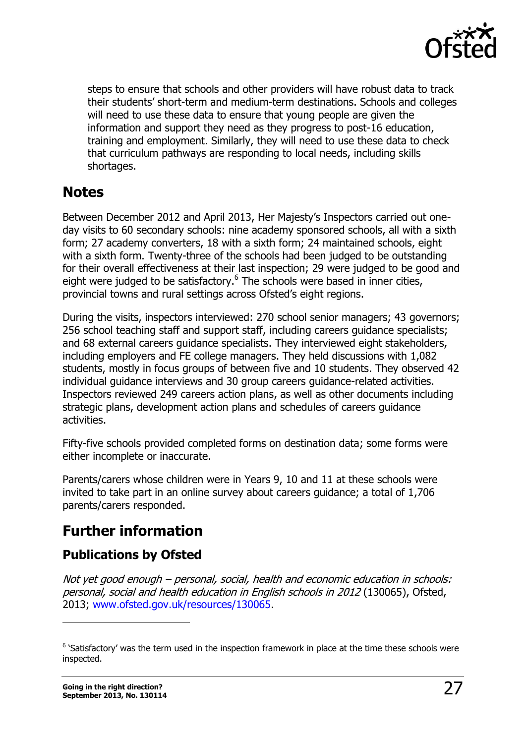

steps to ensure that schools and other providers will have robust data to track their students' short-term and medium-term destinations. Schools and colleges will need to use these data to ensure that young people are given the information and support they need as they progress to post-16 education, training and employment. Similarly, they will need to use these data to check that curriculum pathways are responding to local needs, including skills shortages.

# <span id="page-26-0"></span>**Notes**

Between December 2012 and April 2013, Her Majesty's Inspectors carried out oneday visits to 60 secondary schools: nine academy sponsored schools, all with a sixth form; 27 academy converters, 18 with a sixth form; 24 maintained schools, eight with a sixth form. Twenty-three of the schools had been judged to be outstanding for their overall effectiveness at their last inspection; 29 were judged to be good and eight were judged to be satisfactory.<sup>6</sup> The schools were based in inner cities, provincial towns and rural settings across Ofsted's eight regions.

During the visits, inspectors interviewed: 270 school senior managers; 43 governors; 256 school teaching staff and support staff, including careers guidance specialists; and 68 external careers guidance specialists. They interviewed eight stakeholders, including employers and FE college managers. They held discussions with 1,082 students, mostly in focus groups of between five and 10 students. They observed 42 individual guidance interviews and 30 group careers guidance-related activities. Inspectors reviewed 249 careers action plans, as well as other documents including strategic plans, development action plans and schedules of careers guidance activities.

Fifty-five schools provided completed forms on destination data; some forms were either incomplete or inaccurate.

Parents/carers whose children were in Years 9, 10 and 11 at these schools were invited to take part in an online survey about careers guidance; a total of 1,706 parents/carers responded.

# <span id="page-26-1"></span>**Further information**

# <span id="page-26-2"></span>**Publications by Ofsted**

Not yet good enough – personal, social, health and economic education in schools: personal, social and health education in English schools in 2012 (130065), Ofsted, 2013; [www.ofsted.gov.uk/resources/130065.](http://www.ofsted.gov.uk/resources/130065)

 $\overline{a}$ 

 $6$  'Satisfactory' was the term used in the inspection framework in place at the time these schools were inspected.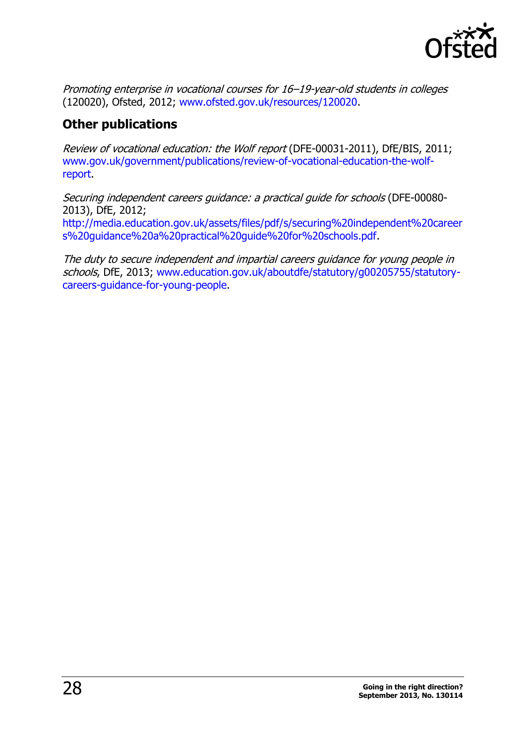

Promoting enterprise in vocational courses for 16–19-year-old students in colleges (120020), Ofsted, 2012; [www.ofsted.gov.uk/resources/120020.](http://www.ofsted.gov.uk/resources/120020)

### <span id="page-27-0"></span>**Other publications**

Review of vocational education: the Wolf report (DFE-00031-2011), DfE/BIS, 2011; [www.gov.uk/government/publications/review-of-vocational-education-the-wolf](http://www.gov.uk/government/publications/review-of-vocational-education-the-wolf-report)[report.](http://www.gov.uk/government/publications/review-of-vocational-education-the-wolf-report)

Securing independent careers guidance: a practical guide for schools (DFE-00080- 2013), DfE, 2012;

[http://media.education.gov.uk/assets/files/pdf/s/securing%20independent%20career](http://media.education.gov.uk/assets/files/pdf/s/securing%20independent%20careers%20guidance%20a%20practical%20guide%20for%20schools.pdf) [s%20guidance%20a%20practical%20guide%20for%20schools.pdf.](http://media.education.gov.uk/assets/files/pdf/s/securing%20independent%20careers%20guidance%20a%20practical%20guide%20for%20schools.pdf)

The duty to secure independent and impartial careers guidance for young people in schools, DfE, 2013; [www.education.gov.uk/aboutdfe/statutory/g00205755/statutory](http://www.education.gov.uk/aboutdfe/statutory/g00205755/statutory-careers-guidance-for-young-people)[careers-guidance-for-young-people.](http://www.education.gov.uk/aboutdfe/statutory/g00205755/statutory-careers-guidance-for-young-people)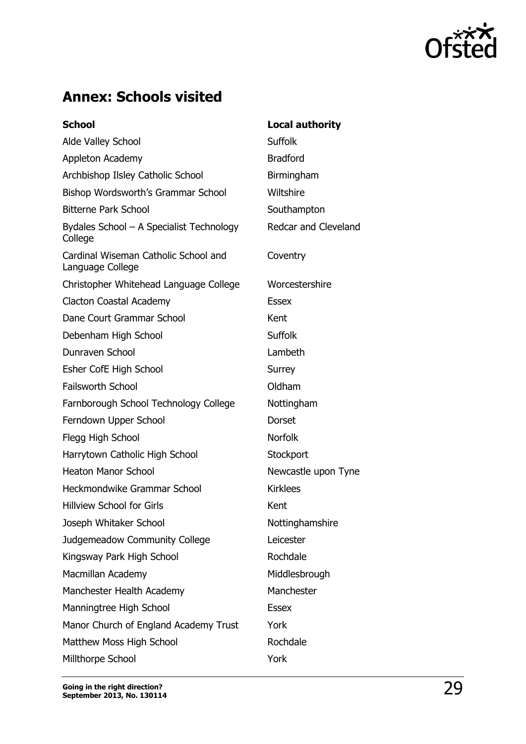

# <span id="page-28-0"></span>**Annex: Schools visited**

| <b>School</b>                                            | <b>Local authority</b>      |
|----------------------------------------------------------|-----------------------------|
| Alde Valley School                                       | <b>Suffolk</b>              |
| Appleton Academy                                         | <b>Bradford</b>             |
| Archbishop Ilsley Catholic School                        | Birmingham                  |
| Bishop Wordsworth's Grammar School                       | Wiltshire                   |
| <b>Bitterne Park School</b>                              | Southampton                 |
| Bydales School - A Specialist Technology<br>College      | <b>Redcar and Cleveland</b> |
| Cardinal Wiseman Catholic School and<br>Language College | Coventry                    |
| Christopher Whitehead Language College                   | Worcestershire              |
| Clacton Coastal Academy                                  | <b>Essex</b>                |
| Dane Court Grammar School                                | Kent                        |
| Debenham High School                                     | <b>Suffolk</b>              |
| Dunraven School                                          | Lambeth                     |
| Esher CofE High School                                   | Surrey                      |
| <b>Failsworth School</b>                                 | Oldham                      |
| Farnborough School Technology College                    | Nottingham                  |
| Ferndown Upper School                                    | Dorset                      |
| Flegg High School                                        | <b>Norfolk</b>              |
| Harrytown Catholic High School                           | Stockport                   |
| <b>Heaton Manor School</b>                               | Newcastle upon Tyne         |
| Heckmondwike Grammar School                              | <b>Kirklees</b>             |
| <b>Hillview School for Girls</b>                         | Kent                        |
| Joseph Whitaker School                                   | Nottinghamshire             |
| Judgemeadow Community College                            | Leicester                   |
| Kingsway Park High School                                | Rochdale                    |
| Macmillan Academy                                        | Middlesbrough               |
| Manchester Health Academy                                | Manchester                  |
| Manningtree High School                                  | <b>Essex</b>                |
| Manor Church of England Academy Trust                    | York                        |
| Matthew Moss High School                                 | Rochdale                    |
| Millthorpe School                                        | York                        |